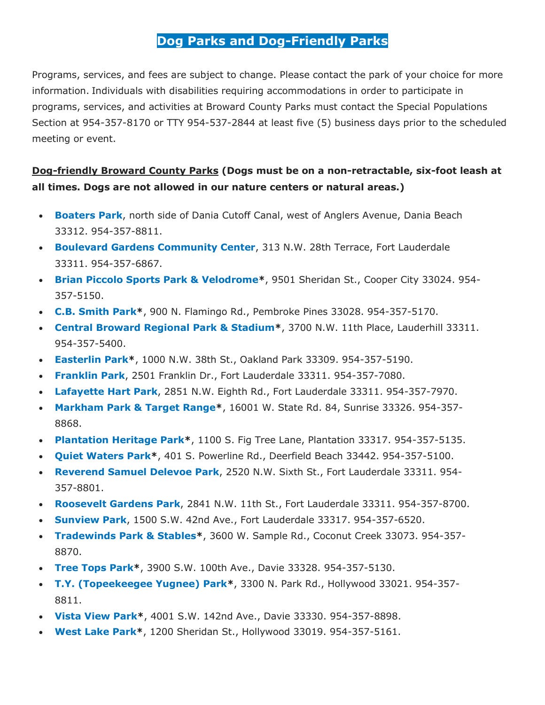## **Dog Parks and Dog-Friendly Parks**

Programs, services, and fees are subject to change. Please contact the park of your choice for more information. Individuals with disabilities requiring accommodations in order to participate in programs, services, and activities at Broward County Parks must contact the Special Populations Section at 954-357-8170 or TTY 954-537-2844 at least five (5) business days prior to the scheduled meeting or event.

## **Dog-friendly Broward County Parks (Dogs must be on a non-retractable, six-foot leash at all times. Dogs are not allowed in our nature centers or natural areas.)**

- **[Boaters Park](http://www.broward.org/Parks/BoatersPark/Pages/Default.aspx)**, north side of Dania Cutoff Canal, west of Anglers Avenue, Dania Beach 33312. 954-357-8811.
- **[Boulevard Gardens Community Center](http://www.broward.org/Parks/BoulevardGardensCommunityCenter/Pages/Default.aspx)**, 313 N.W. 28th Terrace, Fort Lauderdale 33311. 954-357-6867.
- **[Brian Piccolo Sports Park & Velodrome\\*](http://www.broward.org/Parks/BrianPiccoloPark/Pages/Default.aspx)**, 9501 Sheridan St., Cooper City 33024. 954- 357-5150.
- **[C.B. Smith Park\\*](http://www.broward.org/Parks/CBSmithPark/Pages/Default.aspx)**, 900 N. Flamingo Rd., Pembroke Pines 33028. 954-357-5170.
- **[Central Broward Regional Park & Stadium\\*](http://www.broward.org/Parks/CentralBrowardRegionalPark/Pages/Default.aspx)**, 3700 N.W. 11th Place, Lauderhill 33311. 954-357-5400.
- **[Easterlin Park\\*](http://www.broward.org/Parks/EasterlinPark/Pages/Default.aspx)**, 1000 N.W. 38th St., Oakland Park 33309. 954-357-5190.
- **[Franklin Park](http://www.broward.org/Parks/FranklinPark/Pages/Default.aspx)**, 2501 Franklin Dr., Fort Lauderdale 33311. 954-357-7080.
- **[Lafayette Hart Park](http://www.broward.org/Parks/LafayetteHartPark/Pages/Default.aspx)**, 2851 N.W. Eighth Rd., Fort Lauderdale 33311. 954-357-7970.
- **[Markham Park & Target Range\\*](http://www.broward.org/Parks/MarkhamPark/Pages/Default.aspx)**, 16001 W. State Rd. 84, Sunrise 33326. 954-357- 8868.
- **[Plantation Heritage Park\\*](http://www.broward.org/Parks/PlantationHeritagePark/Pages/Default.aspx)**, 1100 S. Fig Tree Lane, Plantation 33317. 954-357-5135.
- **[Quiet Waters Park\\*](http://www.broward.org/Parks/QuietWatersPark/Pages/Default.aspx)**, 401 S. Powerline Rd., Deerfield Beach 33442. 954-357-5100.
- **[Reverend Samuel Delevoe Park](http://www.broward.org/Parks/ReverendSamuelDelevoePark/Pages/Default.aspx)**, 2520 N.W. Sixth St., Fort Lauderdale 33311. 954- 357-8801.
- **[Roosevelt Gardens Park](http://www.broward.org/Parks/RooseveltGardensPark/Pages/Default.aspx)**, 2841 N.W. 11th St., Fort Lauderdale 33311. 954-357-8700.
- **[Sunview Park](http://www.broward.org/Parks/SunviewPark/Pages/Default.aspx)**, 1500 S.W. 42nd Ave., Fort Lauderdale 33317. 954-357-6520.
- **[Tradewinds Park & Stables\\*](http://www.broward.org/Parks/TradewindsPark/Pages/Default.aspx)**, 3600 W. Sample Rd., Coconut Creek 33073. 954-357- 8870.
- **[Tree Tops Park\\*](http://www.broward.org/Parks/TreeTopsPark/Pages/Default.aspx)**, 3900 S.W. 100th Ave., Davie 33328. 954-357-5130.
- **[T.Y. \(Topeekeegee Yugnee\) Park\\*](http://www.broward.org/Parks/TopeekeegeeYugneePark/Pages/Default.aspx)**, 3300 N. Park Rd., Hollywood 33021. 954-357- 8811.
- **[Vista View Park\\*](http://www.broward.org/Parks/VistaViewPark/Pages/Default.aspx)**, 4001 S.W. 142nd Ave., Davie 33330. 954-357-8898.
- **[West Lake Park\\*](http://www.broward.org/Parks/WestLakePark/Pages/Default.aspx)**, 1200 Sheridan St., Hollywood 33019. 954-357-5161.